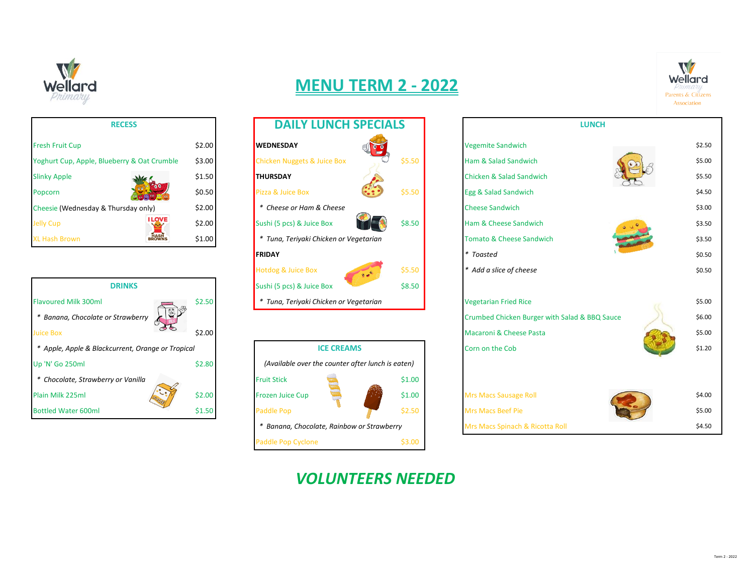

| <b>MENU TERM 2 - 2022</b> |
|---------------------------|
|---------------------------|



| <b>RECESS</b>                               |        |
|---------------------------------------------|--------|
| <b>Fresh Fruit Cup</b>                      | \$2.00 |
| Yoghurt Cup, Apple, Blueberry & Oat Crumble | \$3.00 |
| <b>Slinky Apple</b>                         | \$1.50 |
| Popcorn                                     | \$0.50 |
| Cheesie (Wednesday & Thursday only)         | \$2.00 |
| I LOVE<br><b>Jelly Cup</b>                  | \$2.00 |
| <b>XI Hash Brown</b>                        | S1.00  |



| <b>RECESS</b>         |        | <b>DAILY LUNCH SPECIALS</b>                    |        | <b>LUNCH</b>                        |  |
|-----------------------|--------|------------------------------------------------|--------|-------------------------------------|--|
|                       | \$2.00 | <b>WEDNESDAY</b>                               |        | <b>Vegemite Sandwich</b>            |  |
| berry & Oat Crumble   | \$3.00 | <b>Chicken Nuggets &amp; Juice Box</b>         | \$5.50 | Ham & Salad Sandwich                |  |
|                       | \$1.50 | <b>THURSDAY</b>                                |        | Chicken & Salad Sandwich            |  |
| 00                    | \$0.50 | Pizza & Juice Box                              | \$5.50 | Egg & Salad Sandwich                |  |
| hursday only)         | \$2.00 | * Cheese or Ham & Cheese                       |        | <b>Cheese Sandwich</b>              |  |
| <b>I LOVE</b>         | \$2.00 | Sushi (5 pcs) & Juice Box                      | \$8.50 | Ham & Cheese Sandwich               |  |
| <b>HASH</b><br>BROWNS | \$1.00 | Tuna, Teriyaki Chicken or Vegetarian<br>*      |        | <b>Tomato &amp; Cheese Sandwich</b> |  |
|                       |        | <b>FRIDAY</b>                                  |        | * Toasted                           |  |
|                       |        | <b>Hotdog &amp; Juice Box</b><br>$\frac{1}{2}$ | \$5.50 | * Add a slice of cheese             |  |
| <b>DRINKS</b>         |        | Sushi (5 pcs) & Juice Box                      | \$8.50 |                                     |  |
| 面图                    | \$2.50 | * Tuna, Teriyaki Chicken or Vegetarian         |        | <b>Vegetarian Fried Rice</b>        |  |





## *VOLUNTEERS NEEDED*